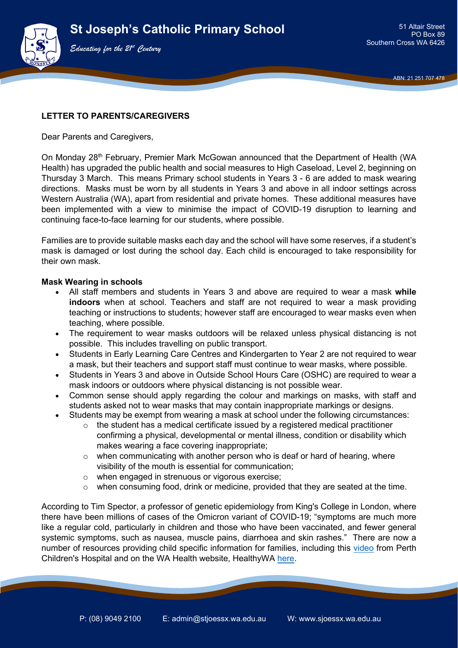



ABN: 21 251 707 478

## **LETTER TO PARENTS/CAREGIVERS**

*Educating for the 21st Century*

Dear Parents and Caregivers,

On Monday 28th February, Premier Mark McGowan announced that the Department of Health (WA Health) has upgraded the public health and social measures to High Caseload, Level 2, beginning on Thursday 3 March. This means Primary school students in Years 3 - 6 are added to mask wearing directions. Masks must be worn by all students in Years 3 and above in all indoor settings across Western Australia (WA), apart from residential and private homes. These additional measures have been implemented with a view to minimise the impact of COVID-19 disruption to learning and continuing face-to-face learning for our students, where possible.

Families are to provide suitable masks each day and the school will have some reserves, if a student's mask is damaged or lost during the school day. Each child is encouraged to take responsibility for their own mask.

## **Mask Wearing in schools**

- All staff members and students in Years 3 and above are required to wear a mask **while indoors** when at school. Teachers and staff are not required to wear a mask providing teaching or instructions to students; however staff are encouraged to wear masks even when teaching, where possible.
- The requirement to wear masks outdoors will be relaxed unless physical distancing is not possible. This includes travelling on public transport.
- Students in Early Learning Care Centres and Kindergarten to Year 2 are not required to wear a mask, but their teachers and support staff must continue to wear masks, where possible.
- Students in Years 3 and above in Outside School Hours Care (OSHC) are required to wear a mask indoors or outdoors where physical distancing is not possible wear.
- Common sense should apply regarding the colour and markings on masks, with staff and students asked not to wear masks that may contain inappropriate markings or designs.
- Students may be exempt from wearing a mask at school under the following circumstances:
	- o the student has a medical certificate issued by a registered medical practitioner confirming a physical, developmental or mental illness, condition or disability which makes wearing a face covering inappropriate;
	- $\circ$  when communicating with another person who is deaf or hard of hearing, where visibility of the mouth is essential for communication;
	- $\circ$  when engaged in strenuous or vigorous exercise;<br> $\circ$  when consuming food, drink or medicine, provided
	- when consuming food, drink or medicine, provided that they are seated at the time.

According to Tim Spector, a professor of genetic epidemiology from King's College in London, where there have been millions of cases of the Omicron variant of COVID-19; "symptoms are much more like a regular cold, particularly in children and those who have been vaccinated, and fewer general systemic symptoms, such as nausea, muscle pains, diarrhoea and skin rashes." There are now a number of resources providing child specific information for families, including this [video](https://www.youtube.com/watch?app=desktop&v=JtcoVdakODs) from Perth Children's Hospital and on the WA Health website, HealthyWA [here.](https://www.healthywa.wa.gov.au/Articles/A_E/Coronavirus/COVID19-positive-children)